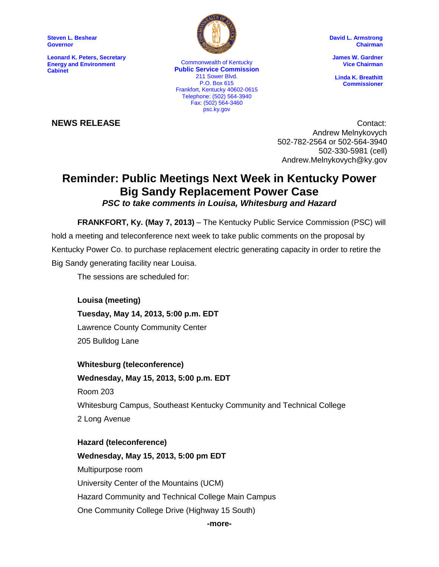**Steven L. Beshear Governor**

**Leonard K. Peters, Secretary Energy and Environment Cabinet**



P.O. Box 615 Commonwealth of Kentucky **Public Service Commission** 211 Sower Blvd. Frankfort, Kentucky 40602-0615 Telephone: (502) 564-3940 Fax: (502) 564-3460 psc.ky.gov

**David L. Armstrong Chairman**

**James W. Gardner Vice Chairman**

**Linda K. Breathitt Commissioner**

**NEWS RELEASE** Contact: Andrew Melnykovych 502-782-2564 or 502-564-3940 502-330-5981 (cell) Andrew.Melnykovych@ky.gov

## **Reminder: Public Meetings Next Week in Kentucky Power Big Sandy Replacement Power Case** *PSC to take comments in Louisa, Whitesburg and Hazard*

**FRANKFORT, Ky. (May 7, 2013)** – The Kentucky Public Service Commission (PSC) will hold a meeting and teleconference next week to take public comments on the proposal by Kentucky Power Co. to purchase replacement electric generating capacity in order to retire the Big Sandy generating facility near Louisa.

The sessions are scheduled for:

**Louisa (meeting) Tuesday, May 14, 2013, 5:00 p.m. EDT** Lawrence County Community Center 205 Bulldog Lane

**Whitesburg (teleconference) Wednesday, May 15, 2013, 5:00 p.m. EDT** Room 203 Whitesburg Campus, Southeast Kentucky Community and Technical College 2 Long Avenue

**Hazard (teleconference) Wednesday, May 15, 2013, 5:00 pm EDT** Multipurpose room University Center of the Mountains (UCM) Hazard Community and Technical College Main Campus One Community College Drive (Highway 15 South)

## **-more-**